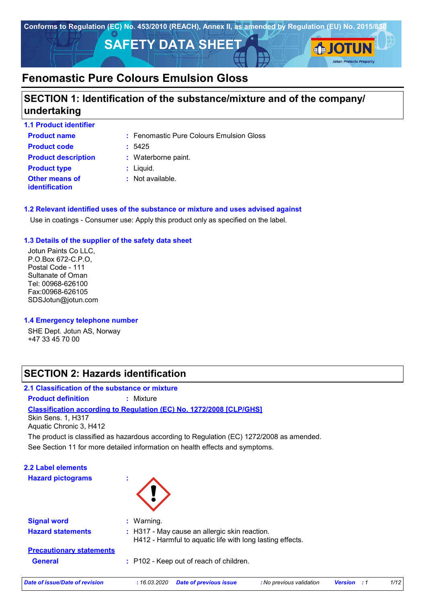

# **SECTION 1: Identification of the substance/mixture and of the company/ undertaking**

| <b>1.1 Product identifier</b>                  |                                          |
|------------------------------------------------|------------------------------------------|
| <b>Product name</b>                            | : Fenomastic Pure Colours Emulsion Gloss |
| <b>Product code</b>                            | :5425                                    |
| <b>Product description</b>                     | : Waterborne paint.                      |
| <b>Product type</b>                            | $:$ Liquid.                              |
| <b>Other means of</b><br><b>identification</b> | : Not available.                         |

#### **1.2 Relevant identified uses of the substance or mixture and uses advised against**

Use in coatings - Consumer use: Apply this product only as specified on the label.

#### **1.3 Details of the supplier of the safety data sheet**

Jotun Paints Co LLC, P.O.Box 672-C.P.O, Postal Code - 111 Sultanate of Oman Tel: 00968-626100 Fax:00968-626105 SDSJotun@jotun.com

#### **1.4 Emergency telephone number**

SHE Dept. Jotun AS, Norway +47 33 45 70 00

# **SECTION 2: Hazards identification**

### **2.1 Classification of the substance or mixture**

**Product definition :** Mixture

**Classification according to Regulation (EC) No. 1272/2008 [CLP/GHS]**

Skin Sens. 1, H317 Aquatic Chronic 3, H412

The product is classified as hazardous according to Regulation (EC) 1272/2008 as amended.

See Section 11 for more detailed information on health effects and symptoms.

| 2.2 Label elements<br><b>Hazard pictograms</b> | ×.          |                                                                                                            |                          |                       |      |
|------------------------------------------------|-------------|------------------------------------------------------------------------------------------------------------|--------------------------|-----------------------|------|
| <b>Signal word</b>                             | : Warning.  |                                                                                                            |                          |                       |      |
| <b>Hazard statements</b>                       |             | : H317 - May cause an allergic skin reaction.<br>H412 - Harmful to aquatic life with long lasting effects. |                          |                       |      |
| <b>Precautionary statements</b>                |             |                                                                                                            |                          |                       |      |
| <b>General</b>                                 |             | : P102 - Keep out of reach of children.                                                                    |                          |                       |      |
| Date of issue/Date of revision                 | :16.03.2020 | <b>Date of previous issue</b>                                                                              | : No previous validation | <b>Version</b><br>- 1 | 1/12 |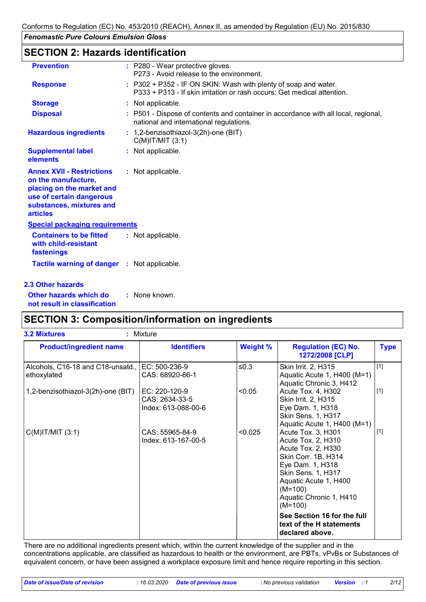# **SECTION 2: Hazards identification**

| <b>Prevention</b>                                                                                                                                               | : P280 - Wear protective gloves.<br>P273 - Avoid release to the environment.                                                               |
|-----------------------------------------------------------------------------------------------------------------------------------------------------------------|--------------------------------------------------------------------------------------------------------------------------------------------|
| <b>Response</b>                                                                                                                                                 | : P302 + P352 - IF ON SKIN: Wash with plenty of soap and water.<br>P333 + P313 - If skin irritation or rash occurs: Get medical attention. |
| <b>Storage</b>                                                                                                                                                  | : Not applicable.                                                                                                                          |
| <b>Disposal</b>                                                                                                                                                 | : P501 - Dispose of contents and container in accordance with all local, regional,<br>national and international regulations.              |
| <b>Hazardous ingredients</b>                                                                                                                                    | : 1,2-benzisothiazol-3(2h)-one (BIT)<br>$C(M)$ IT/MIT $(3:1)$                                                                              |
| <b>Supplemental label</b><br>elements                                                                                                                           | : Not applicable.                                                                                                                          |
| <b>Annex XVII - Restrictions</b><br>on the manufacture,<br>placing on the market and<br>use of certain dangerous<br>substances, mixtures and<br><b>articles</b> | : Not applicable.                                                                                                                          |
| <b>Special packaging requirements</b>                                                                                                                           |                                                                                                                                            |
| <b>Containers to be fitted</b><br>with child-resistant<br>fastenings                                                                                            | : Not applicable.                                                                                                                          |
| Tactile warning of danger : Not applicable.                                                                                                                     |                                                                                                                                            |
| <b>2.3 Other hazards</b>                                                                                                                                        |                                                                                                                                            |

**Other hazards which do : not result in classification** : None known.

# **SECTION 3: Composition/information on ingredients**

| <b>Product/ingredient name</b>                                 | <b>Identifiers</b>                                     | <b>Weight %</b> | <b>Regulation (EC) No.</b><br>1272/2008 [CLP]                                                                                                                                                                        | <b>Type</b> |
|----------------------------------------------------------------|--------------------------------------------------------|-----------------|----------------------------------------------------------------------------------------------------------------------------------------------------------------------------------------------------------------------|-------------|
| Alcohols, C16-18 and C18-unsatd., EC: 500-236-9<br>ethoxylated | CAS: 68920-66-1                                        | ≤0.3            | Skin Irrit. 2, H315<br>Aquatic Acute 1, H400 (M=1)<br>Aquatic Chronic 3, H412                                                                                                                                        | $[1]$       |
| 1,2-benzisothiazol-3(2h)-one (BIT)                             | EC: 220-120-9<br>CAS: 2634-33-5<br>Index: 613-088-00-6 | < 0.05          | Acute Tox. 4, H302<br>Skin Irrit. 2, H315<br>Eye Dam. 1, H318<br>Skin Sens. 1, H317<br>Aquatic Acute 1, H400 (M=1)                                                                                                   | $[1]$       |
| $C(M)$ IT/MIT $(3:1)$                                          | CAS: 55965-84-9<br>Index: 613-167-00-5                 | < 0.025         | Acute Tox. 3, H301<br>Acute Tox. 2, H310<br>Acute Tox. 2, H330<br>Skin Corr. 1B, H314<br>Eye Dam. 1, H318<br><b>Skin Sens. 1, H317</b><br>Aquatic Acute 1, H400<br>$(M=100)$<br>Aquatic Chronic 1, H410<br>$(M=100)$ | $[1]$       |
|                                                                |                                                        |                 | See Section 16 for the full<br>text of the H statements<br>declared above.                                                                                                                                           |             |

There are no additional ingredients present which, within the current knowledge of the supplier and in the concentrations applicable, are classified as hazardous to health or the environment, are PBTs, vPvBs or Substances of equivalent concern, or have been assigned a workplace exposure limit and hence require reporting in this section.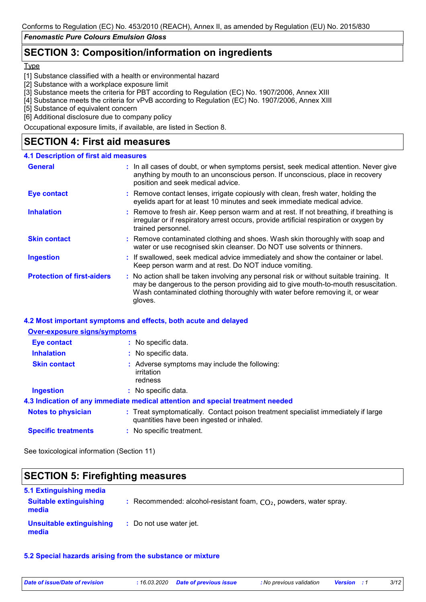# **SECTION 3: Composition/information on ingredients**

#### **Type**

[1] Substance classified with a health or environmental hazard

[2] Substance with a workplace exposure limit

[3] Substance meets the criteria for PBT according to Regulation (EC) No. 1907/2006, Annex XIII

[4] Substance meets the criteria for vPvB according to Regulation (EC) No. 1907/2006, Annex XIII

[5] Substance of equivalent concern

[6] Additional disclosure due to company policy

Occupational exposure limits, if available, are listed in Section 8.

# **SECTION 4: First aid measures**

#### **4.1 Description of first aid measures**

| <b>General</b>                    | : In all cases of doubt, or when symptoms persist, seek medical attention. Never give<br>anything by mouth to an unconscious person. If unconscious, place in recovery<br>position and seek medical advice.                                                              |
|-----------------------------------|--------------------------------------------------------------------------------------------------------------------------------------------------------------------------------------------------------------------------------------------------------------------------|
| <b>Eye contact</b>                | : Remove contact lenses, irrigate copiously with clean, fresh water, holding the<br>eyelids apart for at least 10 minutes and seek immediate medical advice.                                                                                                             |
| <b>Inhalation</b>                 | : Remove to fresh air. Keep person warm and at rest. If not breathing, if breathing is<br>irregular or if respiratory arrest occurs, provide artificial respiration or oxygen by<br>trained personnel.                                                                   |
| <b>Skin contact</b>               | : Remove contaminated clothing and shoes. Wash skin thoroughly with soap and<br>water or use recognised skin cleanser. Do NOT use solvents or thinners.                                                                                                                  |
| <b>Ingestion</b>                  | : If swallowed, seek medical advice immediately and show the container or label.<br>Keep person warm and at rest. Do NOT induce vomiting.                                                                                                                                |
| <b>Protection of first-aiders</b> | : No action shall be taken involving any personal risk or without suitable training. It<br>may be dangerous to the person providing aid to give mouth-to-mouth resuscitation.<br>Wash contaminated clothing thoroughly with water before removing it, or wear<br>gloves. |

#### **4.2 Most important symptoms and effects, both acute and delayed**

| <b>Over-exposure signs/symptoms</b> |                                                                                                                                |
|-------------------------------------|--------------------------------------------------------------------------------------------------------------------------------|
| Eye contact                         | : No specific data.                                                                                                            |
| <b>Inhalation</b>                   | : No specific data.                                                                                                            |
| <b>Skin contact</b>                 | : Adverse symptoms may include the following:<br>irritation<br>redness                                                         |
| <b>Ingestion</b>                    | : No specific data.                                                                                                            |
|                                     | 4.3 Indication of any immediate medical attention and special treatment needed                                                 |
| <b>Notes to physician</b>           | : Treat symptomatically. Contact poison treatment specialist immediately if large<br>quantities have been ingested or inhaled. |
| <b>Specific treatments</b>          | : No specific treatment.                                                                                                       |

See toxicological information (Section 11)

ľ

| <b>SECTION 5: Firefighting measures</b>  |                                                                      |  |
|------------------------------------------|----------------------------------------------------------------------|--|
| 5.1 Extinguishing media                  |                                                                      |  |
| <b>Suitable extinguishing</b><br>media   | : Recommended: alcohol-resistant foam, $CO2$ , powders, water spray. |  |
| <b>Unsuitable extinguishing</b><br>media | : Do not use water jet.                                              |  |

#### **5.2 Special hazards arising from the substance or mixture**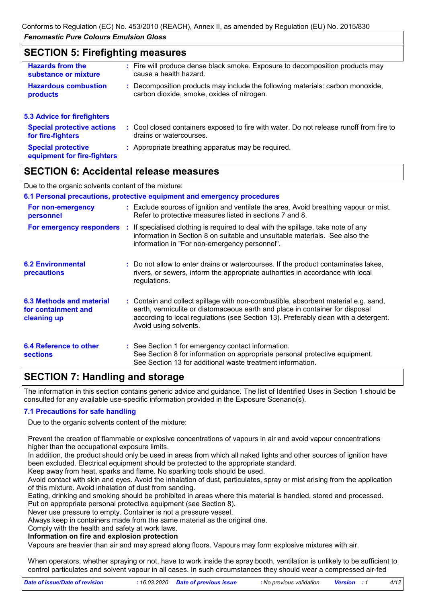### **SECTION 5: Firefighting measures**

| <b>Hazards from the</b><br>substance or mixture        | : Fire will produce dense black smoke. Exposure to decomposition products may<br>cause a health hazard.                      |
|--------------------------------------------------------|------------------------------------------------------------------------------------------------------------------------------|
| <b>Hazardous combustion</b><br>products                | : Decomposition products may include the following materials: carbon monoxide,<br>carbon dioxide, smoke, oxides of nitrogen. |
| <b>5.3 Advice for firefighters</b>                     |                                                                                                                              |
| <b>Special protective actions</b><br>for fire-fighters | : Cool closed containers exposed to fire with water. Do not release runoff from fire to<br>drains or watercourses.           |
| <b>Special protective</b>                              | : Appropriate breathing apparatus may be required.                                                                           |

# **equipment for fire-fighters**

### **SECTION 6: Accidental release measures**

Due to the organic solvents content of the mixture:

#### **6.1 Personal precautions, protective equipment and emergency procedures**

| For non-emergency<br>personnel                                 |   | : Exclude sources of ignition and ventilate the area. Avoid breathing vapour or mist.<br>Refer to protective measures listed in sections 7 and 8.                                                                                                                                  |
|----------------------------------------------------------------|---|------------------------------------------------------------------------------------------------------------------------------------------------------------------------------------------------------------------------------------------------------------------------------------|
| For emergency responders                                       | ÷ | If specialised clothing is required to deal with the spillage, take note of any<br>information in Section 8 on suitable and unsuitable materials. See also the<br>information in "For non-emergency personnel".                                                                    |
| <b>6.2 Environmental</b><br>precautions                        |   | : Do not allow to enter drains or watercourses. If the product contaminates lakes,<br>rivers, or sewers, inform the appropriate authorities in accordance with local<br>regulations.                                                                                               |
| 6.3 Methods and material<br>for containment and<br>cleaning up |   | : Contain and collect spillage with non-combustible, absorbent material e.g. sand,<br>earth, vermiculite or diatomaceous earth and place in container for disposal<br>according to local regulations (see Section 13). Preferably clean with a detergent.<br>Avoid using solvents. |
| 6.4 Reference to other<br><b>sections</b>                      |   | : See Section 1 for emergency contact information.<br>See Section 8 for information on appropriate personal protective equipment.<br>See Section 13 for additional waste treatment information.                                                                                    |

# **SECTION 7: Handling and storage**

The information in this section contains generic advice and guidance. The list of Identified Uses in Section 1 should be consulted for any available use-specific information provided in the Exposure Scenario(s).

#### **7.1 Precautions for safe handling**

Due to the organic solvents content of the mixture:

Prevent the creation of flammable or explosive concentrations of vapours in air and avoid vapour concentrations higher than the occupational exposure limits.

In addition, the product should only be used in areas from which all naked lights and other sources of ignition have been excluded. Electrical equipment should be protected to the appropriate standard.

Keep away from heat, sparks and flame. No sparking tools should be used.

Avoid contact with skin and eyes. Avoid the inhalation of dust, particulates, spray or mist arising from the application of this mixture. Avoid inhalation of dust from sanding.

Eating, drinking and smoking should be prohibited in areas where this material is handled, stored and processed. Put on appropriate personal protective equipment (see Section 8).

Never use pressure to empty. Container is not a pressure vessel.

Always keep in containers made from the same material as the original one.

#### Comply with the health and safety at work laws. **Information on fire and explosion protection**

Vapours are heavier than air and may spread along floors. Vapours may form explosive mixtures with air.

When operators, whether spraying or not, have to work inside the spray booth, ventilation is unlikely to be sufficient to control particulates and solvent vapour in all cases. In such circumstances they should wear a compressed air-fed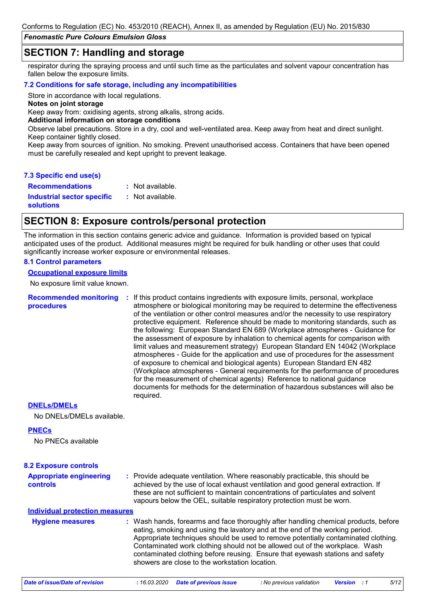### **SECTION 7: Handling and storage**

respirator during the spraying process and until such time as the particulates and solvent vapour concentration has fallen below the exposure limits.

#### **7.2 Conditions for safe storage, including any incompatibilities**

Store in accordance with local regulations.

**Notes on joint storage**

Keep away from: oxidising agents, strong alkalis, strong acids.

**Additional information on storage conditions**

Observe label precautions. Store in a dry, cool and well-ventilated area. Keep away from heat and direct sunlight. Keep container tightly closed.

Keep away from sources of ignition. No smoking. Prevent unauthorised access. Containers that have been opened must be carefully resealed and kept upright to prevent leakage.

#### **7.3 Specific end use(s)**

**Recommendations :**

**Industrial sector specific :**

: Not available. : Not available.

**solutions**

## **SECTION 8: Exposure controls/personal protection**

The information in this section contains generic advice and guidance. Information is provided based on typical anticipated uses of the product. Additional measures might be required for bulk handling or other uses that could significantly increase worker exposure or environmental releases.

#### **8.1 Control parameters**

**Occupational exposure limits**

No exposure limit value known.

#### **Recommended monitoring procedures :** If this product contains ingredients with exposure limits, personal, workplace atmosphere or biological monitoring may be required to determine the effectiveness of the ventilation or other control measures and/or the necessity to use respiratory protective equipment. Reference should be made to monitoring standards, such as the following: European Standard EN 689 (Workplace atmospheres - Guidance for the assessment of exposure by inhalation to chemical agents for comparison with limit values and measurement strategy) European Standard EN 14042 (Workplace atmospheres - Guide for the application and use of procedures for the assessment of exposure to chemical and biological agents) European Standard EN 482 (Workplace atmospheres - General requirements for the performance of procedures for the measurement of chemical agents) Reference to national guidance documents for methods for the determination of hazardous substances will also be required.

#### **DNELs/DMELs**

No DNELs/DMELs available.

#### **PNECs**

No PNECs available

| <b>Appropriate engineering</b><br>controls | : Provide adequate ventilation. Where reasonably practicable, this should be<br>achieved by the use of local exhaust ventilation and good general extraction. If<br>these are not sufficient to maintain concentrations of particulates and solvent<br>vapours below the OEL, suitable respiratory protection must be worn.                                                                                                                                                 |
|--------------------------------------------|-----------------------------------------------------------------------------------------------------------------------------------------------------------------------------------------------------------------------------------------------------------------------------------------------------------------------------------------------------------------------------------------------------------------------------------------------------------------------------|
| <b>Individual protection measures</b>      |                                                                                                                                                                                                                                                                                                                                                                                                                                                                             |
| <b>Hygiene measures</b>                    | : Wash hands, forearms and face thoroughly after handling chemical products, before<br>eating, smoking and using the lavatory and at the end of the working period.<br>Appropriate techniques should be used to remove potentially contaminated clothing.<br>Contaminated work clothing should not be allowed out of the workplace. Wash<br>contaminated clothing before reusing. Ensure that eyewash stations and safety<br>showers are close to the workstation location. |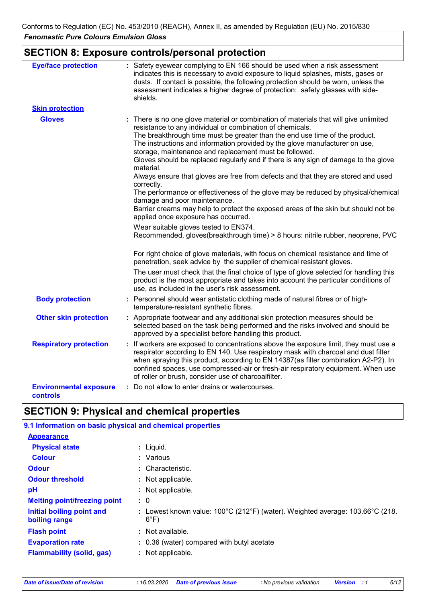# **SECTION 8: Exposure controls/personal protection**

| <b>Eye/face protection</b>                | : Safety eyewear complying to EN 166 should be used when a risk assessment<br>indicates this is necessary to avoid exposure to liquid splashes, mists, gases or<br>dusts. If contact is possible, the following protection should be worn, unless the<br>assessment indicates a higher degree of protection: safety glasses with side-<br>shields.                                                                                                                                                                                                                                                                                                                   |
|-------------------------------------------|----------------------------------------------------------------------------------------------------------------------------------------------------------------------------------------------------------------------------------------------------------------------------------------------------------------------------------------------------------------------------------------------------------------------------------------------------------------------------------------------------------------------------------------------------------------------------------------------------------------------------------------------------------------------|
| <b>Skin protection</b>                    |                                                                                                                                                                                                                                                                                                                                                                                                                                                                                                                                                                                                                                                                      |
| <b>Gloves</b>                             | There is no one glove material or combination of materials that will give unlimited<br>resistance to any individual or combination of chemicals.<br>The breakthrough time must be greater than the end use time of the product.<br>The instructions and information provided by the glove manufacturer on use,<br>storage, maintenance and replacement must be followed.<br>Gloves should be replaced regularly and if there is any sign of damage to the glove<br>material.<br>Always ensure that gloves are free from defects and that they are stored and used<br>correctly.<br>The performance or effectiveness of the glove may be reduced by physical/chemical |
|                                           | damage and poor maintenance.<br>Barrier creams may help to protect the exposed areas of the skin but should not be<br>applied once exposure has occurred.                                                                                                                                                                                                                                                                                                                                                                                                                                                                                                            |
|                                           | Wear suitable gloves tested to EN374.<br>Recommended, gloves(breakthrough time) > 8 hours: nitrile rubber, neoprene, PVC                                                                                                                                                                                                                                                                                                                                                                                                                                                                                                                                             |
|                                           | For right choice of glove materials, with focus on chemical resistance and time of<br>penetration, seek advice by the supplier of chemical resistant gloves.                                                                                                                                                                                                                                                                                                                                                                                                                                                                                                         |
|                                           | The user must check that the final choice of type of glove selected for handling this<br>product is the most appropriate and takes into account the particular conditions of<br>use, as included in the user's risk assessment.                                                                                                                                                                                                                                                                                                                                                                                                                                      |
| <b>Body protection</b>                    | : Personnel should wear antistatic clothing made of natural fibres or of high-<br>temperature-resistant synthetic fibres.                                                                                                                                                                                                                                                                                                                                                                                                                                                                                                                                            |
| <b>Other skin protection</b>              | : Appropriate footwear and any additional skin protection measures should be<br>selected based on the task being performed and the risks involved and should be<br>approved by a specialist before handling this product.                                                                                                                                                                                                                                                                                                                                                                                                                                            |
| <b>Respiratory protection</b>             | : If workers are exposed to concentrations above the exposure limit, they must use a<br>respirator according to EN 140. Use respiratory mask with charcoal and dust filter<br>when spraying this product, according to EN 14387(as filter combination A2-P2). In<br>confined spaces, use compressed-air or fresh-air respiratory equipment. When use<br>of roller or brush, consider use of charcoalfilter.                                                                                                                                                                                                                                                          |
| <b>Environmental exposure</b><br>controls | : Do not allow to enter drains or watercourses.                                                                                                                                                                                                                                                                                                                                                                                                                                                                                                                                                                                                                      |

# **SECTION 9: Physical and chemical properties**

| 9.1 Information on basic physical and chemical properties |                                                                                                 |
|-----------------------------------------------------------|-------------------------------------------------------------------------------------------------|
| <b>Appearance</b>                                         |                                                                                                 |
| <b>Physical state</b>                                     | : Liquid.                                                                                       |
| <b>Colour</b>                                             | : Various                                                                                       |
| <b>Odour</b>                                              | : Characteristic.                                                                               |
| <b>Odour threshold</b>                                    | : Not applicable.                                                                               |
| pH                                                        | : Not applicable.                                                                               |
| <b>Melting point/freezing point</b>                       | $\cdot$ 0                                                                                       |
| Initial boiling point and<br>boiling range                | : Lowest known value: 100°C (212°F) (water). Weighted average: 103.66°C (218.<br>$6^{\circ}$ F) |
| <b>Flash point</b>                                        | : Not available.                                                                                |
| <b>Evaporation rate</b>                                   | : 0.36 (water) compared with butyl acetate                                                      |
| <b>Flammability (solid, gas)</b>                          | : Not applicable.                                                                               |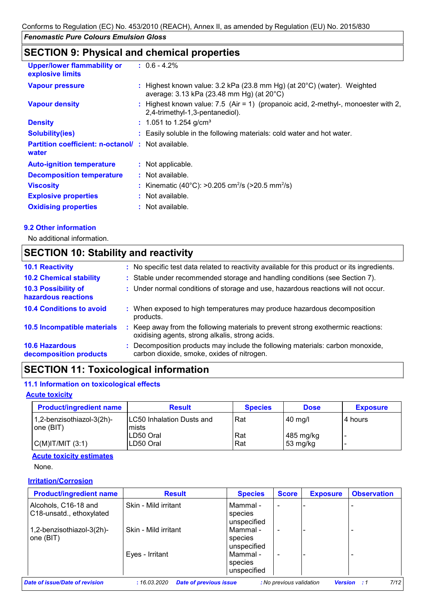# **SECTION 9: Physical and chemical properties**

| <b>Upper/lower flammability or</b><br>explosive limits            | $: 0.6 - 4.2\%$                                                                                                                              |
|-------------------------------------------------------------------|----------------------------------------------------------------------------------------------------------------------------------------------|
| <b>Vapour pressure</b>                                            | : Highest known value: $3.2$ kPa (23.8 mm Hg) (at $20^{\circ}$ C) (water). Weighted<br>average: $3.13$ kPa (23.48 mm Hg) (at $20^{\circ}$ C) |
| <b>Vapour density</b>                                             | : Highest known value: $7.5$ (Air = 1) (propanoic acid, 2-methyl-, monoester with 2,<br>2,4-trimethyl-1,3-pentanediol).                      |
| <b>Density</b>                                                    | $: 1.051$ to 1.254 g/cm <sup>3</sup>                                                                                                         |
| <b>Solubility(ies)</b>                                            | : Easily soluble in the following materials: cold water and hot water.                                                                       |
| <b>Partition coefficient: n-octanol/: Not available.</b><br>water |                                                                                                                                              |
| <b>Auto-ignition temperature</b>                                  | : Not applicable.                                                                                                                            |
| <b>Decomposition temperature</b>                                  | : Not available.                                                                                                                             |
| <b>Viscosity</b>                                                  | : Kinematic (40°C): >0.205 cm <sup>2</sup> /s (>20.5 mm <sup>2</sup> /s)                                                                     |
| <b>Explosive properties</b>                                       | : Not available.                                                                                                                             |
| <b>Oxidising properties</b>                                       | : Not available.                                                                                                                             |

#### **9.2 Other information**

No additional information.

# **SECTION 10: Stability and reactivity**

| <b>10.1 Reactivity</b>                            | : No specific test data related to reactivity available for this product or its ingredients.                                        |
|---------------------------------------------------|-------------------------------------------------------------------------------------------------------------------------------------|
| <b>10.2 Chemical stability</b>                    | : Stable under recommended storage and handling conditions (see Section 7).                                                         |
| <b>10.3 Possibility of</b><br>hazardous reactions | : Under normal conditions of storage and use, hazardous reactions will not occur.                                                   |
| <b>10.4 Conditions to avoid</b>                   | : When exposed to high temperatures may produce hazardous decomposition<br>products.                                                |
| 10.5 Incompatible materials                       | : Keep away from the following materials to prevent strong exothermic reactions:<br>oxidising agents, strong alkalis, strong acids. |
| <b>10.6 Hazardous</b><br>decomposition products   | : Decomposition products may include the following materials: carbon monoxide,<br>carbon dioxide, smoke, oxides of nitrogen.        |

# **SECTION 11: Toxicological information**

#### **11.1 Information on toxicological effects**

#### **Acute toxicity**

| <b>Product/ingredient name</b>         | <b>Result</b>                        | <b>Species</b> | <b>Dose</b>             | <b>Exposure</b> |
|----------------------------------------|--------------------------------------|----------------|-------------------------|-----------------|
| 1,2-benzisothiazol-3(2h)-<br>one (BIT) | ILC50 Inhalation Dusts and<br>lmists | Rat            | $40$ mg/                | 14 hours        |
| $C(M)$ IT/MIT $(3:1)$                  | LD50 Oral<br>LD50 Oral               | Rat<br>Rat     | 485 mg/kg<br>  53 mg/kg |                 |

#### **Acute toxicity estimates**

None.

#### **Irritation/Corrosion**

| <b>Product/ingredient name</b>                   | <b>Result</b>        | <b>Species</b>                     | <b>Score</b>             | <b>Exposure</b> | <b>Observation</b> |
|--------------------------------------------------|----------------------|------------------------------------|--------------------------|-----------------|--------------------|
| Alcohols, C16-18 and<br>C18-unsatd., ethoxylated | Skin - Mild irritant | Mammal -<br>species<br>unspecified | $\blacksquare$           |                 |                    |
| 1,2-benzisothiazol-3(2h)-<br>one (BIT)           | Skin - Mild irritant | Mammal -<br>species<br>unspecified | $\blacksquare$           |                 |                    |
|                                                  | Eyes - Irritant      | Mammal -<br>species<br>unspecified | $\overline{\phantom{0}}$ |                 |                    |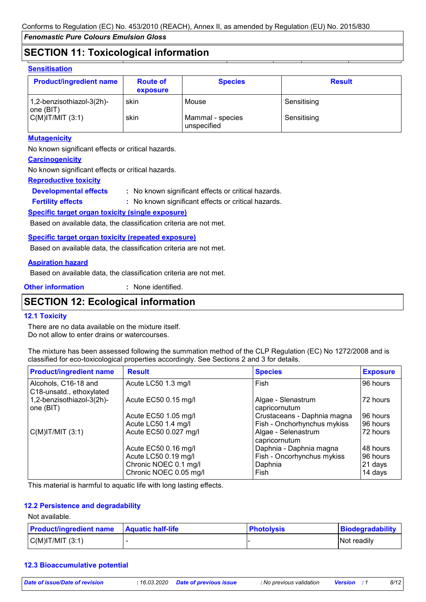# **SECTION 11: Toxicological information**

#### **Sensitisation**

| <b>Product/ingredient name</b>         | <b>Route of</b><br>exposure | <b>Species</b>                  | <b>Result</b> |
|----------------------------------------|-----------------------------|---------------------------------|---------------|
| 1,2-benzisothiazol-3(2h)-<br>one (BIT) | skin                        | Mouse                           | Sensitising   |
| C(M) T/MIT (3:1)                       | skin                        | Mammal - species<br>unspecified | Sensitising   |

#### **Mutagenicity**

No known significant effects or critical hazards.

#### **Carcinogenicity**

No known significant effects or critical hazards.

#### **Reproductive toxicity**

**Developmental effects :** : No known significant effects or critical hazards.

: No known significant effects or critical hazards. **Fertility effects :**

#### **Specific target organ toxicity (single exposure)**

Based on available data, the classification criteria are not met.

#### **Specific target organ toxicity (repeated exposure)**

Based on available data, the classification criteria are not met.

#### **Aspiration hazard**

Based on available data, the classification criteria are not met.

**Other information :**

: None identified.

# **SECTION 12: Ecological information**

#### **12.1 Toxicity**

There are no data available on the mixture itself. Do not allow to enter drains or watercourses.

The mixture has been assessed following the summation method of the CLP Regulation (EC) No 1272/2008 and is classified for eco-toxicological properties accordingly. See Sections 2 and 3 for details.

| <b>Product/ingredient name</b>                   | <b>Result</b>          | <b>Species</b>                       | <b>Exposure</b> |
|--------------------------------------------------|------------------------|--------------------------------------|-----------------|
| Alcohols, C16-18 and<br>C18-unsatd., ethoxylated | Acute LC50 1.3 mg/l    | Fish                                 | 96 hours        |
| 1,2-benzisothiazol-3(2h)-<br>one (BIT)           | Acute EC50 0.15 mg/l   | Algae - Slenastrum<br>capricornutum  | 72 hours        |
|                                                  | Acute EC50 1.05 mg/l   | Crustaceans - Daphnia magna          | 96 hours        |
|                                                  | Acute LC50 1.4 mg/l    | Fish - Onchorhynchus mykiss          | 96 hours        |
| $C(M)$ IT/MIT $(3:1)$                            | Acute EC50 0.027 mg/l  | Algae - Selenastrum<br>capricornutum | 72 hours        |
|                                                  | Acute EC50 0.16 mg/l   | Daphnia - Daphnia magna              | 48 hours        |
|                                                  | Acute LC50 0.19 mg/l   | Fish - Oncorhynchus mykiss           | 96 hours        |
|                                                  | Chronic NOEC 0.1 mg/l  | Daphnia                              | 21 days         |
|                                                  | Chronic NOEC 0.05 mg/l | Fish                                 | 14 days         |

This material is harmful to aquatic life with long lasting effects.

#### **12.2 Persistence and degradability**

Not available.

| <b>Product/ingredient name Aquatic half-life</b> | <b>Photolysis</b> | Biodegradability |
|--------------------------------------------------|-------------------|------------------|
| C(M) T/MIT (3:1)                                 |                   | Not readily      |

#### **12.3 Bioaccumulative potential**

*Date of issue/Date of revision* **:** *16.03.2020 Date of previous issue : No previous validation Version : 1 8/12*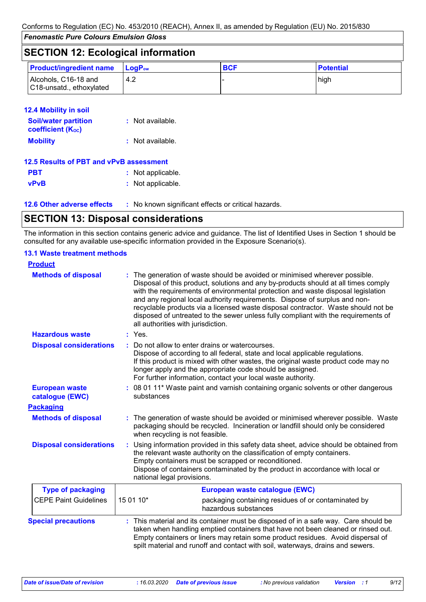| <b>SECTION 12: Ecological information</b>        |                        |            |                  |  |  |
|--------------------------------------------------|------------------------|------------|------------------|--|--|
| <b>Product/ingredient name</b>                   | $ $ LogP <sub>ow</sub> | <b>BCF</b> | <b>Potential</b> |  |  |
| Alcohols, C16-18 and<br>C18-unsatd., ethoxylated | 4.2                    |            | high             |  |  |

#### **12.4 Mobility in soil**

| <b>Soil/water partition</b><br><b>coefficient (Koc)</b> | : Not available. |
|---------------------------------------------------------|------------------|
| <b>Mobility</b>                                         | : Not available. |

| 12.5 Results of PBT and vPvB assessment |                   |  |  |  |
|-----------------------------------------|-------------------|--|--|--|
| <b>PBT</b>                              | : Not applicable. |  |  |  |
| <b>vPvB</b>                             | : Not applicable. |  |  |  |

**12.6 Other adverse effects** : No known significant effects or critical hazards.

# **SECTION 13: Disposal considerations**

The information in this section contains generic advice and guidance. The list of Identified Uses in Section 1 should be consulted for any available use-specific information provided in the Exposure Scenario(s).

#### **13.1 Waste treatment methods**

| <b>Product</b>                           |                                                                                                                                                                                                                                                                                                                                                                                                                                                                                                                                                      |
|------------------------------------------|------------------------------------------------------------------------------------------------------------------------------------------------------------------------------------------------------------------------------------------------------------------------------------------------------------------------------------------------------------------------------------------------------------------------------------------------------------------------------------------------------------------------------------------------------|
| <b>Methods of disposal</b>               | : The generation of waste should be avoided or minimised wherever possible.<br>Disposal of this product, solutions and any by-products should at all times comply<br>with the requirements of environmental protection and waste disposal legislation<br>and any regional local authority requirements. Dispose of surplus and non-<br>recyclable products via a licensed waste disposal contractor. Waste should not be<br>disposed of untreated to the sewer unless fully compliant with the requirements of<br>all authorities with jurisdiction. |
| <b>Hazardous waste</b>                   | $:$ Yes.                                                                                                                                                                                                                                                                                                                                                                                                                                                                                                                                             |
| <b>Disposal considerations</b>           | Do not allow to enter drains or watercourses.<br>Dispose of according to all federal, state and local applicable regulations.<br>If this product is mixed with other wastes, the original waste product code may no<br>longer apply and the appropriate code should be assigned.<br>For further information, contact your local waste authority.                                                                                                                                                                                                     |
| <b>European waste</b><br>catalogue (EWC) | : 08 01 11* Waste paint and varnish containing organic solvents or other dangerous<br>substances                                                                                                                                                                                                                                                                                                                                                                                                                                                     |
| <b>Packaging</b>                         |                                                                                                                                                                                                                                                                                                                                                                                                                                                                                                                                                      |
| <b>Methods of disposal</b>               | : The generation of waste should be avoided or minimised wherever possible. Waste<br>packaging should be recycled. Incineration or landfill should only be considered<br>when recycling is not feasible.                                                                                                                                                                                                                                                                                                                                             |
| <b>Disposal considerations</b>           | Using information provided in this safety data sheet, advice should be obtained from<br>the relevant waste authority on the classification of empty containers.<br>Empty containers must be scrapped or reconditioned.<br>Dispose of containers contaminated by the product in accordance with local or<br>national legal provisions.                                                                                                                                                                                                                |
| <b>Type of packaging</b>                 | European waste catalogue (EWC)                                                                                                                                                                                                                                                                                                                                                                                                                                                                                                                       |
| <b>CEPE Paint Guidelines</b>             | 15 01 10*<br>packaging containing residues of or contaminated by<br>hazardous substances                                                                                                                                                                                                                                                                                                                                                                                                                                                             |
| <b>Special precautions</b>               | : This material and its container must be disposed of in a safe way. Care should be<br>taken when handling emptied containers that have not been cleaned or rinsed out.<br>Empty containers or liners may retain some product residues. Avoid dispersal of<br>spilt material and runoff and contact with soil, waterways, drains and sewers.                                                                                                                                                                                                         |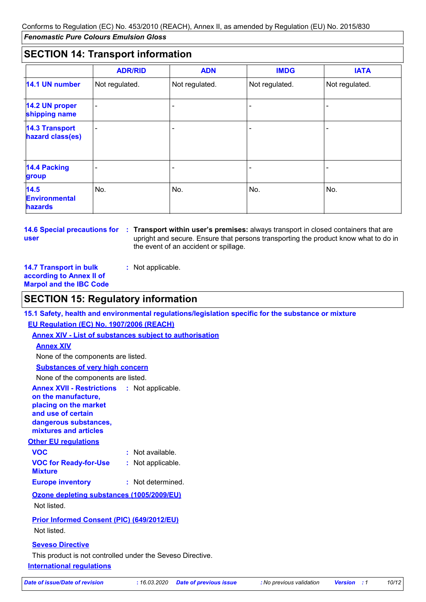# **SECTION 14: Transport information**

|                                                | <b>ADR/RID</b> | <b>ADN</b>     | <b>IMDG</b>    | <b>IATA</b>    |
|------------------------------------------------|----------------|----------------|----------------|----------------|
| 14.1 UN number                                 | Not regulated. | Not regulated. | Not regulated. | Not regulated. |
| 14.2 UN proper<br>shipping name                | -              |                |                |                |
| <b>14.3 Transport</b><br>hazard class(es)      |                | $\blacksquare$ |                |                |
| <b>14.4 Packing</b><br>group                   |                |                |                |                |
| 14.5<br><b>Environmental</b><br><b>hazards</b> | No.            | No.            | No.            | No.            |

**user**

**14.6 Special precautions for Transport within user's premises:** always transport in closed containers that are **:** upright and secure. Ensure that persons transporting the product know what to do in the event of an accident or spillage.

**14.7 Transport in bulk according to Annex II of Marpol and the IBC Code**

# **SECTION 15: Regulatory information**

**15.1 Safety, health and environmental regulations/legislation specific for the substance or mixture**

**EU Regulation (EC) No. 1907/2006 (REACH)**

### **Annex XIV - List of substances subject to authorisation**

**:** Not applicable.

#### **Annex XIV**

None of the components are listed.

#### **Substances of very high concern**

None of the components are listed.

**Annex XVII - Restrictions :** Not applicable. **on the manufacture, placing on the market and use of certain dangerous substances, mixtures and articles**

#### **Other EU regulations**

| <b>VOC</b>                                     | : Not available.  |
|------------------------------------------------|-------------------|
| <b>VOC for Ready-for-Use</b><br><b>Mixture</b> | : Not applicable. |
| <b>Europe inventory</b>                        | : Not determined. |

**Ozone depleting substances (1005/2009/EU)** Not listed.

### **Prior Informed Consent (PIC) (649/2012/EU)** Not listed.

#### **Seveso Directive**

**International regulations** This product is not controlled under the Seveso Directive.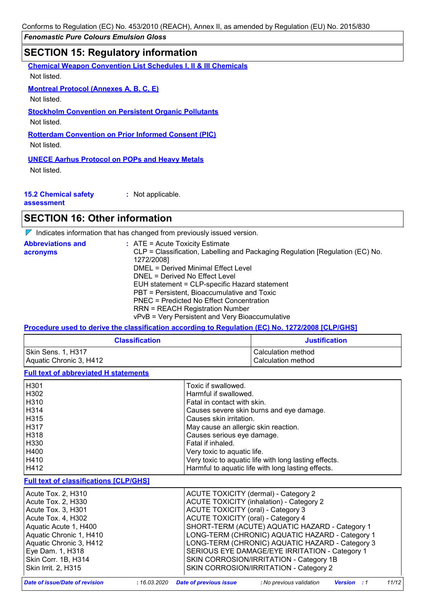Conforms to Regulation (EC) No. 453/2010 (REACH), Annex II, as amended by Regulation (EU) No. 2015/830

*Fenomastic Pure Colours Emulsion Gloss*

# **SECTION 15: Regulatory information**

**Chemical Weapon Convention List Schedules I, II & III Chemicals**

Not listed.

**Montreal Protocol (Annexes A, B, C, E)**

Not listed.

**Stockholm Convention on Persistent Organic Pollutants**

Not listed.

**Rotterdam Convention on Prior Informed Consent (PIC)**

Not listed.

#### **UNECE Aarhus Protocol on POPs and Heavy Metals**

Not listed.

| <b>15.2 Chemical safety</b> |  |
|-----------------------------|--|
|                             |  |

**:** Not applicable.

**assessment**

# **SECTION 16: Other information**

 $\nabla$  Indicates information that has changed from previously issued version.

| <b>Abbreviations and</b> | $:$ ATE = Acute Toxicity Estimate                                                           |
|--------------------------|---------------------------------------------------------------------------------------------|
| acronyms                 | CLP = Classification, Labelling and Packaging Regulation [Regulation (EC) No.<br>1272/2008] |
|                          | DMEL = Derived Minimal Effect Level                                                         |
|                          | DNEL = Derived No Effect Level                                                              |
|                          | EUH statement = CLP-specific Hazard statement                                               |
|                          | PBT = Persistent, Bioaccumulative and Toxic                                                 |
|                          | PNEC = Predicted No Effect Concentration                                                    |
|                          | <b>RRN = REACH Registration Number</b>                                                      |
|                          | vPvB = Very Persistent and Very Bioaccumulative                                             |

### **Procedure used to derive the classification according to Regulation (EC) No. 1272/2008 [CLP/GHS]**

| <b>Classification</b>   | <b>Justification</b> |
|-------------------------|----------------------|
| Skin Sens. 1, H317      | l Calculation method |
| Aquatic Chronic 3, H412 | l Calculation method |

**Full text of abbreviated H statements**

| H <sub>301</sub> | Toxic if swallowed.                                   |
|------------------|-------------------------------------------------------|
| H302             | Harmful if swallowed.                                 |
| H310             | Fatal in contact with skin.                           |
| H314             | Causes severe skin burns and eye damage.              |
| H315             | Causes skin irritation.                               |
| H317             | May cause an allergic skin reaction.                  |
| H318             | Causes serious eye damage.                            |
| H330             | Fatal if inhaled.                                     |
| H400             | Very toxic to aquatic life.                           |
| H410             | Very toxic to aquatic life with long lasting effects. |
| H412             | Harmful to aquatic life with long lasting effects.    |
|                  |                                                       |

#### **Full text of classifications [CLP/GHS]**

| Acute Tox. 2, H310<br>Acute Tox. 2, H330<br>Acute Tox. 3, H301<br>Acute Tox. 4, H302<br>Aquatic Acute 1, H400<br>Aquatic Chronic 1, H410<br>Aquatic Chronic 3, H412<br>Eye Dam. 1, H318<br>Skin Corr. 1B, H314 | <b>ACUTE TOXICITY (dermal) - Category 2</b><br><b>ACUTE TOXICITY (inhalation) - Category 2</b><br>ACUTE TOXICITY (oral) - Category 3<br><b>ACUTE TOXICITY (oral) - Category 4</b><br>SHORT-TERM (ACUTE) AQUATIC HAZARD - Category 1<br>LONG-TERM (CHRONIC) AQUATIC HAZARD - Category 1<br>LONG-TERM (CHRONIC) AQUATIC HAZARD - Category 3<br>SERIOUS EYE DAMAGE/EYE IRRITATION - Category 1<br>SKIN CORROSION/IRRITATION - Category 1B |
|----------------------------------------------------------------------------------------------------------------------------------------------------------------------------------------------------------------|----------------------------------------------------------------------------------------------------------------------------------------------------------------------------------------------------------------------------------------------------------------------------------------------------------------------------------------------------------------------------------------------------------------------------------------|
|                                                                                                                                                                                                                |                                                                                                                                                                                                                                                                                                                                                                                                                                        |
| Skin Irrit. 2, H315                                                                                                                                                                                            | SKIN CORROSION/IRRITATION - Category 2                                                                                                                                                                                                                                                                                                                                                                                                 |

*Date of issue/Date of revision* **:** *16.03.2020 Date of previous issue : No previous validation Version : 1 11/12*